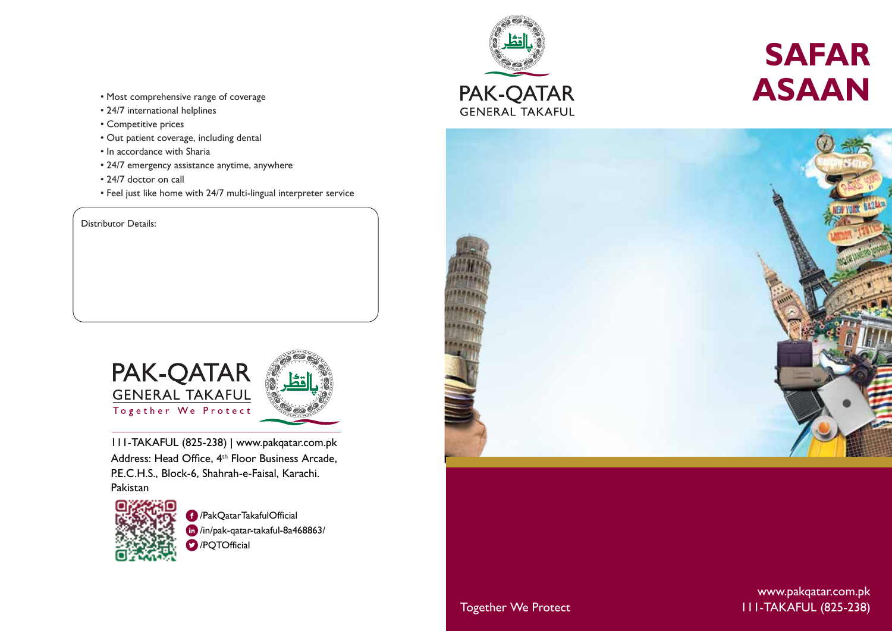- Most comprehensive range of coverage
- 24/7 international helplines
- Competitive prices
- Out patient coverage, including dental
- In accordance with Sharia
- 24/7 emergency assistance anytime, anywhere
- 24/7 doctor on call
- Feel just like home with 24/7 multi-lingual interpreter service

Distributor Details:



 111-TAKAFUL (825-238) | www.pakqatar.com.pk Address: Head Office, 4<sup>th</sup> Floor Business Arcade, P.E.C.H.S., Block-6, Shahrah-e-Faisal, Karachi.

Pakistan



/PakQatarTakafulOfficial /in/pak-qatar-takaful-8a468863/ **D** /PQTOfficial



# **SAFAR ASAAN**



Together We Protect 111-TAKAFUL (825-238) www.pakqatar.com.pk